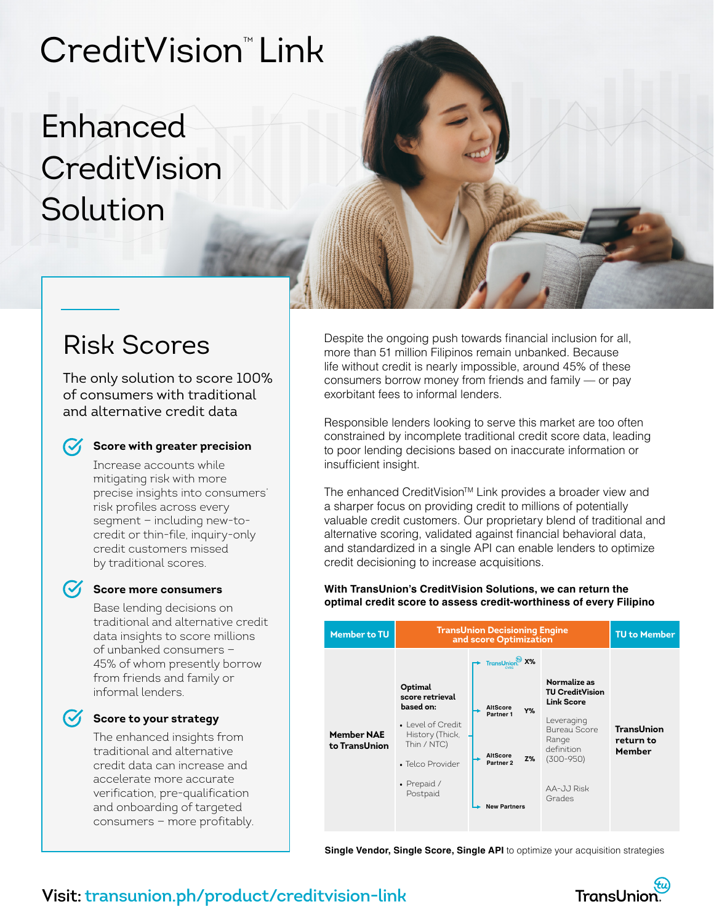# CreditVision" Link

# Enhanced **CreditVision** Solution

### Risk Scores

The only solution to score 100% of consumers with traditional and alternative credit data

### **Score with greater precision**

Increase accounts while mitigating risk with more precise insights into consumers' risk profiles across every segment — including new-tocredit or thin-file, inquiry-only credit customers missed by traditional scores.

### **Score more consumers**

Base lending decisions on traditional and alternative credit data insights to score millions of unbanked consumers — 45% of whom presently borrow from friends and family or informal lenders.

### **Score to your strategy**

The enhanced insights from traditional and alternative credit data can increase and accelerate more accurate verification, pre-qualification and onboarding of targeted consumers — more profitably. Despite the ongoing push towards financial inclusion for all, more than 51 million Filipinos remain unbanked. Because life without credit is nearly impossible, around 45% of these consumers borrow money from friends and family — or pay exorbitant fees to informal lenders.

Responsible lenders looking to serve this market are too often constrained by incomplete traditional credit score data, leading to poor lending decisions based on inaccurate information or insufficient insight.

The enhanced CreditVision™ Link provides a broader view and a sharper focus on providing credit to millions of potentially valuable credit customers. Our proprietary blend of traditional and alternative scoring, validated against financial behavioral data, and standardized in a single API can enable lenders to optimize credit decisioning to increase acquisitions.

#### **With TransUnion's CreditVision Solutions, we can return the optimal credit score to assess credit-worthiness of every Filipino**



**Single Vendor, Single Score, Single API** to optimize your acquisition strategies



### **Visit: transunion.ph/product/creditvision-link**